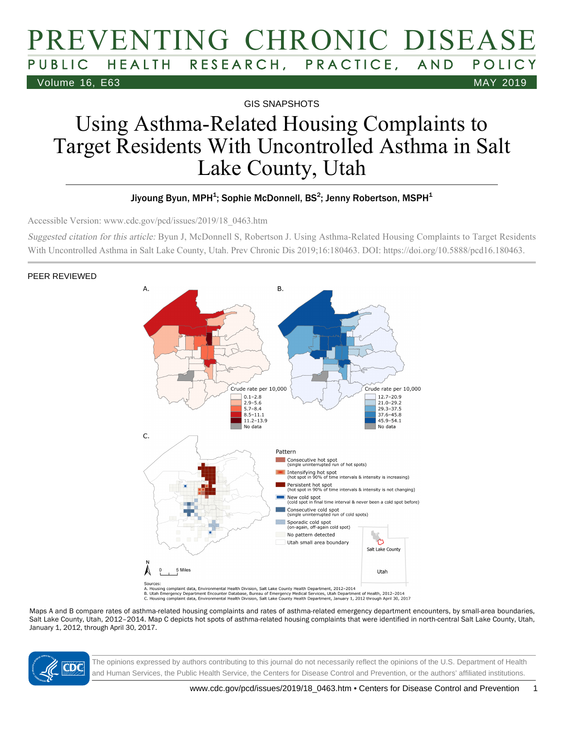# PREVENTING CHRONIC DISEASE PUBLIC HEALTH RESEARCH, PRACTICE, AND POLICY Volume 16, E63 MAY 2019

GIS SNAPSHOTS

# Using Asthma-Related Housing Complaints to Target Residents With Uncontrolled Asthma in Salt Lake County, Utah

#### Jiyoung Byun, MPH $^{\rm 1}$ ; Sophie McDonnell, BS $^{\rm 2}$ ; Jenny Robertson, MSPH $^{\rm 1}$

Accessible Version: www.cdc.gov/pcd/issues/2019/18\_0463.htm

Suggested citation for this article: Byun J, McDonnell S, Robertson J. Using Asthma-Related Housing Complaints to Target Residents With Uncontrolled Asthma in Salt Lake County, Utah. Prev Chronic Dis 2019;16:180463. DOI: https://doi.org/10.5888/pcd16.180463.





Sources:<br>A. Housing complaint data, Environmental Health Division, Salt Lake County Health Department, 2012–2014<br>B. Utah Emergency Department Encounter Database, Bureau of Emergency Medical Services, Utah Department of Hea

Maps A and B compare rates of asthma-related housing complaints and rates of asthma-related emergency department encounters, by small-area boundaries, Salt Lake County, Utah, 2012-2014. Map C depicts hot spots of asthma-related housing complaints that were identified in north-central Salt Lake County, Utah, January 1, 2012, through April 30, 2017.



The opinions expressed by authors contributing to this journal do not necessarily reflect the opinions of the U.S. Department of Health and Human Services, the Public Health Service, the Centers for Disease Control and Prevention, or the authors' affiliated institutions.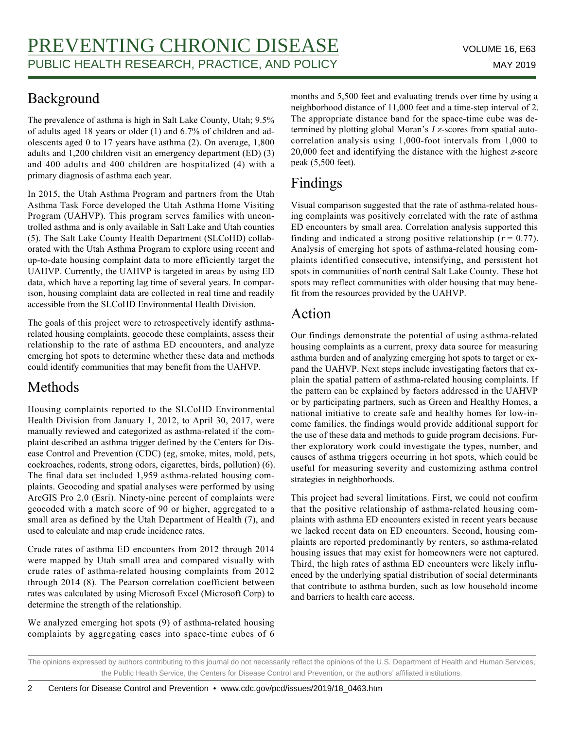# Background

The prevalence of asthma is high in Salt Lake County, Utah; 9.5% of adults aged 18 years or older (1) and 6.7% of children and adolescents aged 0 to 17 years have asthma (2). On average, 1,800 adults and 1,200 children visit an emergency department (ED) (3) and 400 adults and 400 children are hospitalized (4) with a primary diagnosis of asthma each year.

In 2015, the Utah Asthma Program and partners from the Utah Asthma Task Force developed the Utah Asthma Home Visiting Program (UAHVP). This program serves families with uncontrolled asthma and is only available in Salt Lake and Utah counties (5). The Salt Lake County Health Department (SLCoHD) collaborated with the Utah Asthma Program to explore using recent and up-to-date housing complaint data to more efficiently target the UAHVP. Currently, the UAHVP is targeted in areas by using ED data, which have a reporting lag time of several years. In comparison, housing complaint data are collected in real time and readily accessible from the SLCoHD Environmental Health Division.

The goals of this project were to retrospectively identify asthmarelated housing complaints, geocode these complaints, assess their relationship to the rate of asthma ED encounters, and analyze emerging hot spots to determine whether these data and methods could identify communities that may benefit from the UAHVP.

# Methods

Housing complaints reported to the SLCoHD Environmental Health Division from January 1, 2012, to April 30, 2017, were manually reviewed and categorized as asthma-related if the complaint described an asthma trigger defined by the Centers for Disease Control and Prevention (CDC) (eg, smoke, mites, mold, pets, cockroaches, rodents, strong odors, cigarettes, birds, pollution) (6). The final data set included 1,959 asthma-related housing complaints. Geocoding and spatial analyses were performed by using ArcGIS Pro 2.0 (Esri). Ninety-nine percent of complaints were geocoded with a match score of 90 or higher, aggregated to a small area as defined by the Utah Department of Health (7), and used to calculate and map crude incidence rates.

Crude rates of asthma ED encounters from 2012 through 2014 were mapped by Utah small area and compared visually with crude rates of asthma-related housing complaints from 2012 through 2014 (8). The Pearson correlation coefficient between rates was calculated by using Microsoft Excel (Microsoft Corp) to determine the strength of the relationship.

We analyzed emerging hot spots (9) of asthma-related housing complaints by aggregating cases into space-time cubes of 6

months and 5,500 feet and evaluating trends over time by using a neighborhood distance of 11,000 feet and a time-step interval of 2. The appropriate distance band for the space-time cube was determined by plotting global Moran's <sup>I</sup> <sup>z</sup>-scores from spatial autocorrelation analysis using 1,000-foot intervals from 1,000 to 20,000 feet and identifying the distance with the highest z-score peak (5,500 feet).

# Findings

Visual comparison suggested that the rate of asthma-related housing complaints was positively correlated with the rate of asthma ED encounters by small area. Correlation analysis supported this finding and indicated a strong positive relationship ( $r = 0.77$ ). Analysis of emerging hot spots of asthma-related housing complaints identified consecutive, intensifying, and persistent hot spots in communities of north central Salt Lake County. These hot spots may reflect communities with older housing that may benefit from the resources provided by the UAHVP.

#### Action

Our findings demonstrate the potential of using asthma-related housing complaints as a current, proxy data source for measuring asthma burden and of analyzing emerging hot spots to target or expand the UAHVP. Next steps include investigating factors that explain the spatial pattern of asthma-related housing complaints. If the pattern can be explained by factors addressed in the UAHVP or by participating partners, such as Green and Healthy Homes, a national initiative to create safe and healthy homes for low-income families, the findings would provide additional support for the use of these data and methods to guide program decisions. Further exploratory work could investigate the types, number, and causes of asthma triggers occurring in hot spots, which could be useful for measuring severity and customizing asthma control strategies in neighborhoods.

This project had several limitations. First, we could not confirm that the positive relationship of asthma-related housing complaints with asthma ED encounters existed in recent years because we lacked recent data on ED encounters. Second, housing complaints are reported predominantly by renters, so asthma-related housing issues that may exist for homeowners were not captured. Third, the high rates of asthma ED encounters were likely influenced by the underlying spatial distribution of social determinants that contribute to asthma burden, such as low household income and barriers to health care access.

The opinions expressed by authors contributing to this journal do not necessarily reflect the opinions of the U.S. Department of Health and Human Services, the Public Health Service, the Centers for Disease Control and Prevention, or the authors' affiliated institutions.